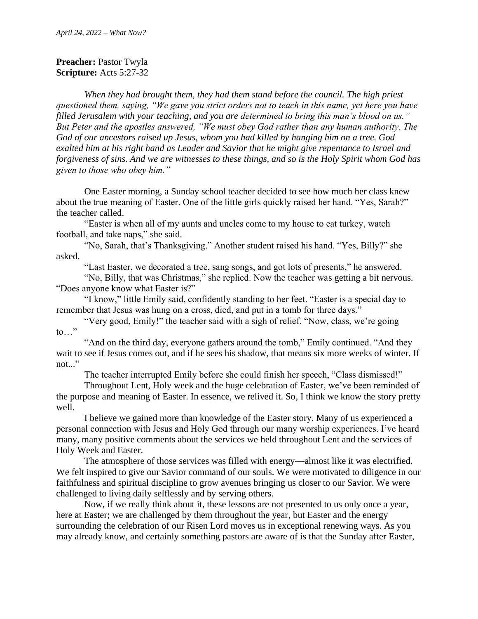## **Preacher: Pastor Twyla Scripture:** Acts 5:27-32

*When they had brought them, they had them stand before the council. The high priest questioned them, saying, "We gave you strict orders not to teach in this name, yet here you have filled Jerusalem with your teaching, and you are determined to bring this man's blood on us." But Peter and the apostles answered, "We must obey God rather than any human authority. The God of our ancestors raised up Jesus, whom you had killed by hanging him on a tree. God exalted him at his right hand as Leader and Savior that he might give repentance to Israel and forgiveness of sins. And we are witnesses to these things, and so is the Holy Spirit whom God has given to those who obey him."*

One Easter morning, a Sunday school teacher decided to see how much her class knew about the true meaning of Easter. One of the little girls quickly raised her hand. "Yes, Sarah?" the teacher called.

"Easter is when all of my aunts and uncles come to my house to eat turkey, watch football, and take naps," she said.

"No, Sarah, that's Thanksgiving." Another student raised his hand. "Yes, Billy?" she asked.

"Last Easter, we decorated a tree, sang songs, and got lots of presents," he answered.

"No, Billy, that was Christmas," she replied. Now the teacher was getting a bit nervous. "Does anyone know what Easter is?"

"I know," little Emily said, confidently standing to her feet. "Easter is a special day to remember that Jesus was hung on a cross, died, and put in a tomb for three days."

"Very good, Emily!" the teacher said with a sigh of relief. "Now, class, we're going to…"

"And on the third day, everyone gathers around the tomb," Emily continued. "And they wait to see if Jesus comes out, and if he sees his shadow, that means six more weeks of winter. If not..."

The teacher interrupted Emily before she could finish her speech, "Class dismissed!"

Throughout Lent, Holy week and the huge celebration of Easter, we've been reminded of the purpose and meaning of Easter. In essence, we relived it. So, I think we know the story pretty well.

I believe we gained more than knowledge of the Easter story. Many of us experienced a personal connection with Jesus and Holy God through our many worship experiences. I've heard many, many positive comments about the services we held throughout Lent and the services of Holy Week and Easter.

The atmosphere of those services was filled with energy—almost like it was electrified. We felt inspired to give our Savior command of our souls. We were motivated to diligence in our faithfulness and spiritual discipline to grow avenues bringing us closer to our Savior. We were challenged to living daily selflessly and by serving others.

Now, if we really think about it, these lessons are not presented to us only once a year, here at Easter; we are challenged by them throughout the year, but Easter and the energy surrounding the celebration of our Risen Lord moves us in exceptional renewing ways. As you may already know, and certainly something pastors are aware of is that the Sunday after Easter,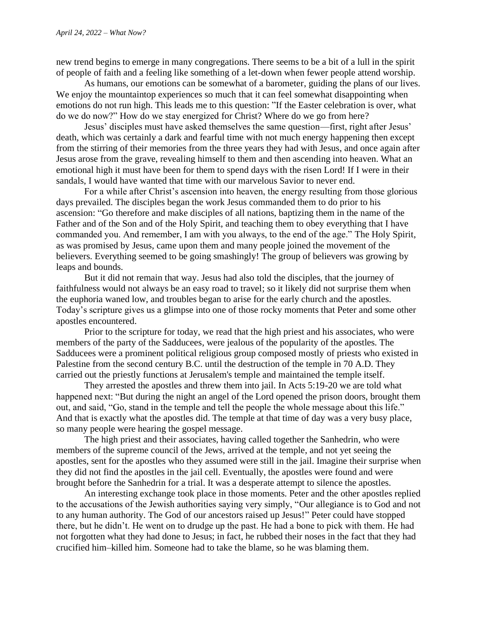new trend begins to emerge in many congregations. There seems to be a bit of a lull in the spirit of people of faith and a feeling like something of a let-down when fewer people attend worship.

As humans, our emotions can be somewhat of a barometer, guiding the plans of our lives. We enjoy the mountaintop experiences so much that it can feel somewhat disappointing when emotions do not run high. This leads me to this question: "If the Easter celebration is over, what do we do now?" How do we stay energized for Christ? Where do we go from here?

Jesus' disciples must have asked themselves the same question—first, right after Jesus' death, which was certainly a dark and fearful time with not much energy happening then except from the stirring of their memories from the three years they had with Jesus, and once again after Jesus arose from the grave, revealing himself to them and then ascending into heaven. What an emotional high it must have been for them to spend days with the risen Lord! If I were in their sandals, I would have wanted that time with our marvelous Savior to never end.

For a while after Christ's ascension into heaven, the energy resulting from those glorious days prevailed. The disciples began the work Jesus commanded them to do prior to his ascension: "Go therefore and make disciples of all nations, baptizing them in the name of the Father and of the Son and of the Holy Spirit, and teaching them to obey everything that I have commanded you. And remember, I am with you always, to the end of the age." The Holy Spirit, as was promised by Jesus, came upon them and many people joined the movement of the believers. Everything seemed to be going smashingly! The group of believers was growing by leaps and bounds.

But it did not remain that way. Jesus had also told the disciples, that the journey of faithfulness would not always be an easy road to travel; so it likely did not surprise them when the euphoria waned low, and troubles began to arise for the early church and the apostles. Today's scripture gives us a glimpse into one of those rocky moments that Peter and some other apostles encountered.

Prior to the scripture for today, we read that the high priest and his associates, who were members of the party of the Sadducees, were jealous of the popularity of the apostles. The Sadducees were a prominent political religious group composed mostly of priests who existed in Palestine from the second century B.C. until the destruction of the temple in 70 A.D. They carried out the priestly functions at Jerusalem's temple and maintained the temple itself.

They arrested the apostles and threw them into jail. In Acts 5:19-20 we are told what happened next: "But during the night an angel of the Lord opened the prison doors, brought them out, and said, "Go, stand in the temple and tell the people the whole message about this life." And that is exactly what the apostles did. The temple at that time of day was a very busy place, so many people were hearing the gospel message.

The high priest and their associates, having called together the Sanhedrin, who were members of the supreme council of the Jews, arrived at the temple, and not yet seeing the apostles, sent for the apostles who they assumed were still in the jail. Imagine their surprise when they did not find the apostles in the jail cell. Eventually, the apostles were found and were brought before the Sanhedrin for a trial. It was a desperate attempt to silence the apostles.

An interesting exchange took place in those moments. Peter and the other apostles replied to the accusations of the Jewish authorities saying very simply, "Our allegiance is to God and not to any human authority. The God of our ancestors raised up Jesus!" Peter could have stopped there, but he didn't. He went on to drudge up the past. He had a bone to pick with them. He had not forgotten what they had done to Jesus; in fact, he rubbed their noses in the fact that they had crucified him–killed him. Someone had to take the blame, so he was blaming them.